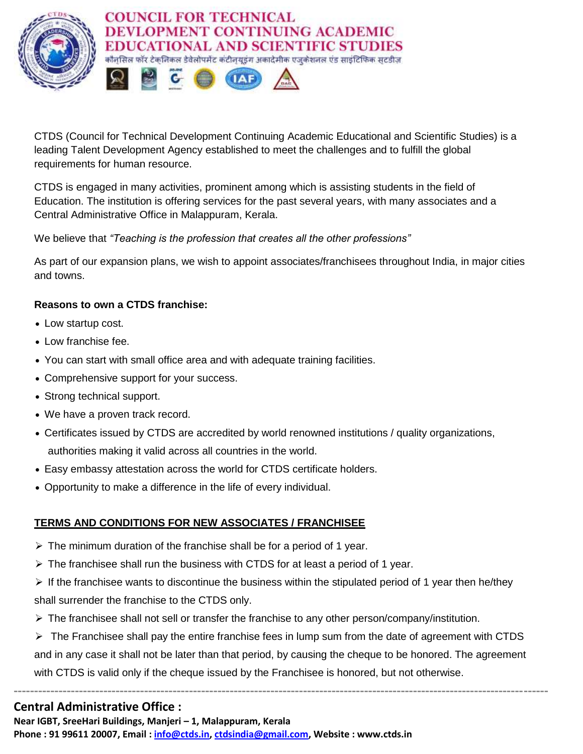

CTDS (Council for Technical Development Continuing Academic Educational and Scientific Studies) is a leading Talent Development Agency established to meet the challenges and to fulfill the global requirements for human resource.

CTDS is engaged in many activities, prominent among which is assisting students in the field of Education. The institution is offering services for the past several years, with many associates and a Central Administrative Office in Malappuram, Kerala.

We believe that *"Teaching is the profession that creates all the other professions"*

As part of our expansion plans, we wish to appoint associates/franchisees throughout India, in major cities and towns.

## **Reasons to own a CTDS franchise:**

- Low startup cost.
- Low franchise fee.
- You can start with small office area and with adequate training facilities.
- Comprehensive support for your success.
- Strong technical support.
- We have a proven track record.
- Certificates issued by CTDS are accredited by world renowned institutions / quality organizations, authorities making it valid across all countries in the world.
- Easy embassy attestation across the world for CTDS certificate holders.
- Opportunity to make a difference in the life of every individual.

## **TERMS AND CONDITIONS FOR NEW ASSOCIATES / FRANCHISEE**

- $\triangleright$  The minimum duration of the franchise shall be for a period of 1 year.
- $\triangleright$  The franchisee shall run the business with CTDS for at least a period of 1 year.
- $\triangleright$  If the franchisee wants to discontinue the business within the stipulated period of 1 year then he/they shall surrender the franchise to the CTDS only.
- $\triangleright$  The franchisee shall not sell or transfer the franchise to any other person/company/institution.
- $\triangleright$  The Franchisee shall pay the entire franchise fees in lump sum from the date of agreement with CTDS and in any case it shall not be later than that period, by causing the cheque to be honored. The agreement with CTDS is valid only if the cheque issued by the Franchisee is honored, but not otherwise.

**-----------------------------------------------------------------------------------------------------------------------------------**

## **Central Administrative Office :**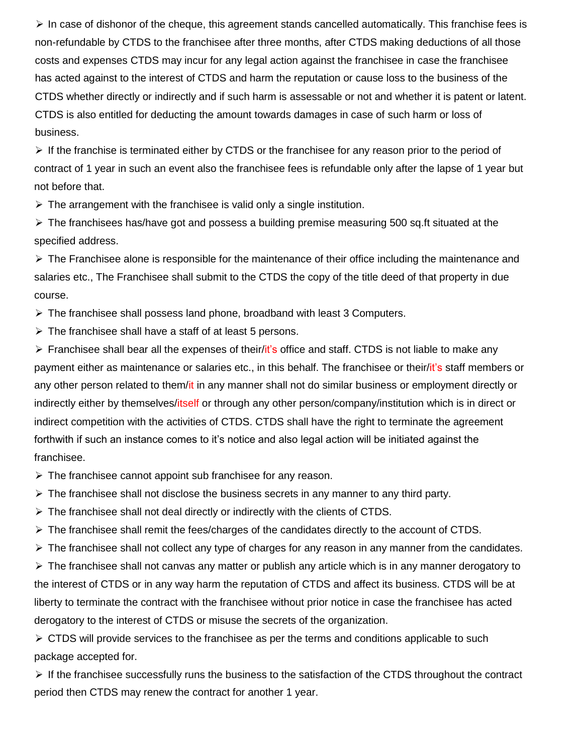$\triangleright$  In case of dishonor of the cheque, this agreement stands cancelled automatically. This franchise fees is non-refundable by CTDS to the franchisee after three months, after CTDS making deductions of all those costs and expenses CTDS may incur for any legal action against the franchisee in case the franchisee has acted against to the interest of CTDS and harm the reputation or cause loss to the business of the CTDS whether directly or indirectly and if such harm is assessable or not and whether it is patent or latent. CTDS is also entitled for deducting the amount towards damages in case of such harm or loss of business.

 $\triangleright$  If the franchise is terminated either by CTDS or the franchisee for any reason prior to the period of contract of 1 year in such an event also the franchisee fees is refundable only after the lapse of 1 year but not before that.

 $\triangleright$  The arrangement with the franchisee is valid only a single institution.

 $\triangleright$  The franchisees has/have got and possess a building premise measuring 500 sq.ft situated at the specified address.

 $\triangleright$  The Franchisee alone is responsible for the maintenance of their office including the maintenance and salaries etc., The Franchisee shall submit to the CTDS the copy of the title deed of that property in due course.

 $\triangleright$  The franchisee shall possess land phone, broadband with least 3 Computers.

 $\triangleright$  The franchisee shall have a staff of at least 5 persons.

 $\triangleright$  Franchisee shall bear all the expenses of their/it's office and staff. CTDS is not liable to make any payment either as maintenance or salaries etc., in this behalf. The franchisee or their/it's staff members or any other person related to them/it in any manner shall not do similar business or employment directly or indirectly either by themselves/itself or through any other person/company/institution which is in direct or indirect competition with the activities of CTDS. CTDS shall have the right to terminate the agreement forthwith if such an instance comes to it's notice and also legal action will be initiated against the franchisee.

 $\triangleright$  The franchisee cannot appoint sub franchisee for any reason.

 $\triangleright$  The franchisee shall not disclose the business secrets in any manner to any third party.

 $\triangleright$  The franchisee shall not deal directly or indirectly with the clients of CTDS.

 $\triangleright$  The franchisee shall remit the fees/charges of the candidates directly to the account of CTDS.

 $\triangleright$  The franchisee shall not collect any type of charges for any reason in any manner from the candidates.

 $\triangleright$  The franchisee shall not canvas any matter or publish any article which is in any manner derogatory to the interest of CTDS or in any way harm the reputation of CTDS and affect its business. CTDS will be at liberty to terminate the contract with the franchisee without prior notice in case the franchisee has acted derogatory to the interest of CTDS or misuse the secrets of the organization.

 $\triangleright$  CTDS will provide services to the franchisee as per the terms and conditions applicable to such package accepted for.

 $\triangleright$  If the franchisee successfully runs the business to the satisfaction of the CTDS throughout the contract period then CTDS may renew the contract for another 1 year.